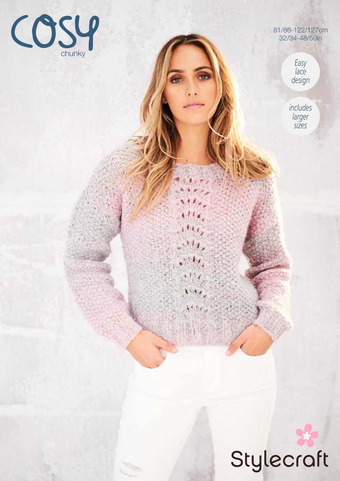

81/86-122/127cm 32/34-48/50in

> *Easy lace design*

*includes larger sizes*

# Stylecraft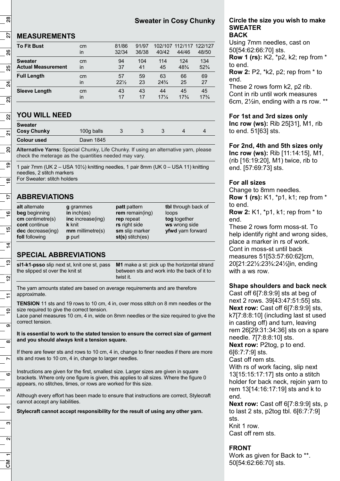# **Sweater in Cosy Chunky**

# **MEASUREMENTS**

| <b>To Fit Bust</b>        | cm<br>in     | 81/86<br>32/34  | 91/97<br>36/38 | 40/42           | 102/107 112/117 122/127<br>44/46 | 48/50           |
|---------------------------|--------------|-----------------|----------------|-----------------|----------------------------------|-----------------|
| <b>Sweater</b>            | cm           | 94              | 104            | 114             | 124                              | 134             |
| <b>Actual Measurement</b> | in           | 37              | 41             | 45              | $48\frac{3}{4}$                  | $52\frac{3}{4}$ |
| <b>Full Length</b>        | cm           | 57              | 59             | 63              | 66                               | 69              |
|                           | in           | $22\frac{1}{2}$ | 23             | $24\frac{3}{4}$ | 25                               | 27              |
| <b>Sleeve Length</b>      | cm           | 43              | 43             | 44              | 45                               | 45              |
|                           | $\mathsf{I}$ | 17              | 17             | $17\frac{1}{4}$ | $17\frac{3}{4}$                  | $17\frac{3}{4}$ |

# **YOU WILL NEED**

| <b>Sweater</b><br><b>Cosy Chunky</b> | 100g balls |  |  |  |
|--------------------------------------|------------|--|--|--|
| Colour used                          | Dawn 1845  |  |  |  |

**Alternative Yarns:** Special Chunky, Life Chunky. If using an alternative yarn, please check the meterage as the quantities needed may vary.

1 pair 7mm (UK 2 – USA 10½) knitting needles, 1 pair 8mm (UK 0 – USA 11) knitting needles, 2 stitch markers For Sweater: stitch holders

# **ABBREVIATIONS**

| alt alternate<br>g grammes<br>$in$ inch(es)<br>beg beginning<br>inc increase(ing)<br>$cm$ centimetre(s)<br>cont continue<br>k knit<br>dec decrease(ing)<br>$mm$ millimetre(s)<br>foll following<br>p purl | patt pattern<br>rem remain(ing)<br>rep repeat<br>rs right side<br>sm slip marker<br>$st(s)$ stitch(es) | tbl through back of<br>loops<br>tog together<br>ws wrong side<br>yfwd yarn forward |
|-----------------------------------------------------------------------------------------------------------------------------------------------------------------------------------------------------------|--------------------------------------------------------------------------------------------------------|------------------------------------------------------------------------------------|
|-----------------------------------------------------------------------------------------------------------------------------------------------------------------------------------------------------------|--------------------------------------------------------------------------------------------------------|------------------------------------------------------------------------------------|

# **SPECIAL ABBREVIATIONS**

|                                 | sl1-k1-psso slip next st, knit one st, pass M1 make a st: pick up the horizontal strand |
|---------------------------------|-----------------------------------------------------------------------------------------|
| the slipped st over the knit st | between sts and work into the back of it to                                             |
|                                 | twist it.                                                                               |

The yarn amounts stated are based on average requirements and are therefore approximate.

**TENSION** 11 sts and 19 rows to 10 cm, 4 in, over moss stitch on 8 mm needles or the size required to give the correct tension.

Lace panel measures 10 cm, 4 in, wide on 8mm needles or the size required to give the correct tension.

#### **It is essential to work to the stated tension to ensure the correct size of garment and you should always knit a tension square.**

If there are fewer sts and rows to 10 cm, 4 in, change to finer needles if there are more sts and rows to 10 cm, 4 in, change to larger needles.

Instructions are given for the first, smallest size. Larger sizes are given in square brackets. Where only one figure is given, this applies to all sizes. Where the figure 0 appears, no stitches, times, or rows are worked for this size.

Although every effort has been made to ensure that instructions are correct, Stylecraft cannot accept any liabilities.

**Stylecraft cannot accept responsibility for the result of using any other yarn.**

#### **Circle the size you wish to make SWEATER BACK**

Using 7mm needles, cast on 50[54:62:66:70] sts. **Row 1 (rs):** K2, \*p2, k2; rep from \* to end.

**Row 2:** P2, \*k2, p2; rep from \* to end.

These 2 rows form k2, p2 rib. Cont in rib until work measures 6cm, 2½in, ending with a rs row. \*\*

# **For 1st and 3rd sizes only**

**Inc row (ws):** Rib 25[31], M1, rib to end. 51[63] sts.

# **For 2nd, 4th and 5th sizes only**

**Inc row (ws):** Rib [11:14:15], M1, (rib [16:19:20], M1) twice, rib to end. [57:69:73] sts.

#### **For all sizes**

Change to 8mm needles. **Row 1 (rs):** K1, \*p1, k1; rep from \* to end.

**Row 2:** K1, \*p1, k1; rep from \* to end.

These 2 rows form moss-st. To help identify right and wrong sides, place a marker in rs of work. Cont in moss-st until back measures 51[53:57:60:62]cm, 20[21:22½:23¾:24½]in, ending with a ws row.

## **Shape shoulders and back neck**

Cast off 6[7:8:9:9] sts at beg of next 2 rows. 39[43:47:51:55] sts. **Next row:** Cast off 6[7:8:9:9] sts, k7[7:8:8:10] (including last st used in casting off) and turn, leaving rem 26[29:31:34:36] sts on a spare needle. 7[7:8:8:10] sts.

**Next row:** P2tog, p to end. 6[6:7:7:9] sts.

Cast off rem sts. With rs of work facing, slip next 13[15:15:17:17] sts onto a stitch holder for back neck, rejoin yarn to rem 13[14:16:17:19] sts and k to end.

**Next row:** Cast off 6[7:8:9:9] sts, p to last 2 sts, p2tog tbl. 6[6:7:7:9] sts. Knit 1 row.

Cast off rem sts.

## **FRONT**

Work as given for Back to \*\*. 50[54:62:66:70] sts.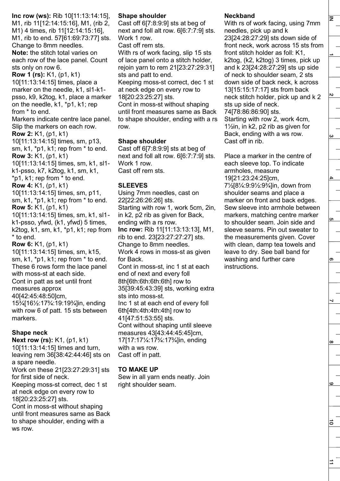**Inc row (ws):** Rib 10[11:13:14:15], M1, rib 11[12:14:15:16], M1, (rib 2, M1) 4 times, rib 11[12:14:15:16], M1, rib to end. 57[61:69:73:77] sts. Change to 8mm needles. **Note:** the stitch total varies on each row of the lace panel. Count sts only on row 6. **Row 1 (rs):** K1, (p1, k1) 10[11:13:14:15] times, place a marker on the needle, k1, sl1-k1 psso, k9, k2tog, k1, place a marker on the needle, k1, \*p1, k1; rep from \* to end. Markers indicate centre lace panel. Slip the markers on each row. **Row 2:** K1, (p1, k1) 10[11:13:14:15] times, sm, p13, sm, k1, \*p1, k1; rep from \* to end. **Row 3:** K1, (p1, k1) 10[11:13:14:15] times, sm, k1, sl1 k1-psso, k7, k2tog, k1, sm, k1, \*p1, k1; rep from \* to end. **Row 4:** K1, (p1, k1) 10[11:13:14:15] times, sm, p11, sm, k1, \*p1, k1; rep from \* to end. **Row 5:** K1, (p1, k1) 10[11:13:14:15] times, sm, k1, sl1 k1-psso, yfwd, (k1, yfwd) 5 times, k2tog, k1, sm, k1, \*p1, k1; rep from \* to end. **Row 6:** K1, (p1, k1) 10[11:13:14:15] times, sm, k15, sm, k1, \*p1, k1; rep from \* to end. These 6 rows form the lace panel with moss-st at each side. Cont in patt as set until front measures approx 40[42:45:48:50]cm, 15¾[16½:17¾:19:19¾]in, ending with row 6 of patt. 15 sts between markers.

#### **Shape neck**

**Next row (rs):** K1, (p1, k1) 10[11:13:14:15] times and turn, leaving rem 36[38:42:44:46] sts on a spare needle. Work on these 21[23:27:29:31] sts for first side of neck. Keeping moss-st correct, dec 1 st at neck edge on every row to 18[20:23:25:27] sts. Cont in moss-st without shaping until front measures same as Back to shape shoulder, ending with a ws row.

#### **Shape shoulder**

Cast off 6[7:8:9:9] sts at beg of next and foll alt row. 6[6:7:7:9] sts. Work 1 row.

Cast off rem sts. With rs of work facing, slip 15 sts

of lace panel onto a stitch holder, rejoin yarn to rem 21[23:27:29:31] sts and patt to end.

Keeping moss-st correct, dec 1 st at neck edge on every row to 18[20:23:25:27] sts.

Cont in moss-st without shaping until front measures same as Back to shape shoulder, ending with a rs row.

#### **Shape shoulder**

Cast off 6[7:8:9:9] sts at beg of next and foll alt row. 6[6:7:7:9] sts. Work 1 row. Cast off rem sts.

#### **SLEEVES**

Using 7mm needles, cast on 22[22:26:26:26] sts. Starting with row 1, work 5cm, 2in, in k2, p2 rib as given for Back, ending with a rs row. **Inc row:** Rib 11[11:13:13:13], M1, rib to end. 23[23:27:27:27] sts. Change to 8mm needles. Work 4 rows in moss-st as given for Back. Cont in moss-st, inc 1 st at each end of next and every foll 8th[6th:6th:6th:6th] row to 35[39:45:43:39] sts, working extra sts into moss-st. Inc 1 st at each end of every foll 6th[4th:4th:4th:4th] row to 41[47:51:53:55] sts. Cont without shaping until sleeve measures 43[43:44:45:45]cm, 17[17:17¼:17¾:17¾]in, ending with a ws row. Cast off in patt.

#### **TO MAKE UP**

Sew in all yarn ends neatly. Join right shoulder seam.

#### **Neckband**

With rs of work facing, using 7mm needles, pick up and k 23[24:28:27:29] sts down side of front neck, work across 15 sts from front stitch holder as foll: K1, k2tog, (k2, k2tog) 3 times, pick up and k 23[24:28:27:29] sts up side of neck to shoulder seam, 2 sts down side of back neck, k across 13[15:15:17:17] sts from back neck stitch holder, pick up and k 2 sts up side of neck. 74[78:86:86:90] sts.

Starting with row 2, work 4cm, 1½in, in k2, p2 rib as given for Back, ending with a ws row. Cast off in rib.

Place a marker in the centre of each sleeve top. To indicate armholes, measure 19[21:23:24:25]cm,

7½[8¼:9:9½:9¾]in, down from shoulder seams and place a marker on front and back edges. Sew sleeve into armhole between markers, matching centre marker to shoulder seam. Join side and sleeve seams. Pin out sweater to the measurements given. Cover with clean, damp tea towels and leave to dry. See ball band for washing and further care instructions.

Iz.